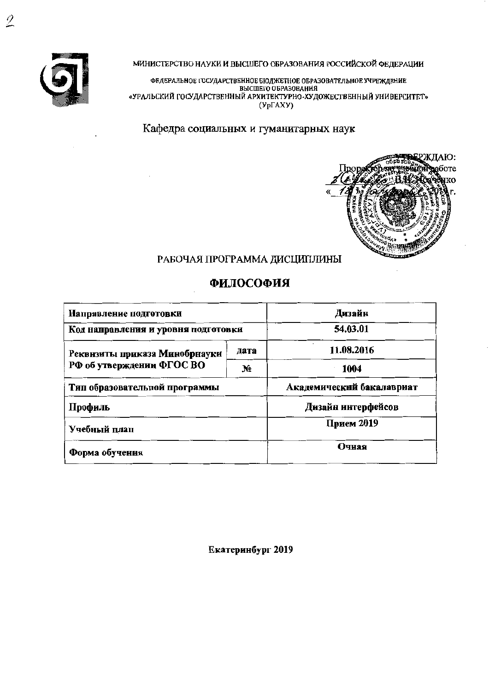

МИНИСТЕРСТВО НАУКИ И ВЫСШЕГО ОБРАЗОВАНИЯ РОССИЙСКОЙ ФЕДЕРАЦИИ

ФЕДЕРАЛЬНОЕ ГОСУДАРСТВЕННОЕ БЮДЖЕТНОЕ ОБРАЗОВАТЕЛЬНОЕ УЧРЕЖДЕНИЕ<br>ВЫСШЕГО ОБРАЗОВАНИЯ «УРАЛЬСКИЙ ГОСУДАРСТВЕННЫЙ АРХИТЕКТУРНО-ХУДОЖЕСТВЕННЫЙ УНИВЕРСИТЕТ»  $(Yp\Gamma A XY)$ 

Кафедра социальных и гуманитарных наук



## РАБОЧАЯ ПРОГРАММА ДИСЦИПЛИНЫ

## ФИЛОСОФИЯ

| Направление подготовки              | Дизайн     |                           |  |
|-------------------------------------|------------|---------------------------|--|
| Код направления и уровня подготовки | 54.03.01   |                           |  |
| Реквнзиты приказа Минобрнауки       | 11.08.2016 |                           |  |
| РФ об утверждении ФГОС ВО           | N.         | 1004                      |  |
| Тип образовательной программы       |            | Академический бакалавриат |  |
| Профиль                             |            | Дизайн интерфейсов        |  |
| Учебный плап                        | Прием 2019 |                           |  |
| Форма обучения                      | Очная      |                           |  |

Екатеринбург 2019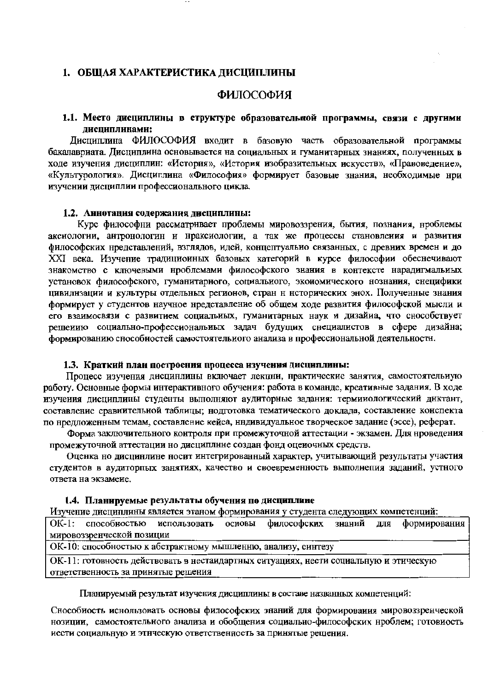#### 1. ОБЩАЯ ХАРАКТЕРИСТИКА ДИСЦИПЛИНЫ

#### ФИЛОСОФИЯ

#### 1.1. Место дисциплины в структуре образовательной программы, связи с другими лиспиплинами:

Лиспиплина ФИЛОСОФИЯ вхолит в базовую часть образовательной программы бакалавриата. Дисциплина основывается на социальных и гуманитарных знаниях, полученных в ходе изучения дисциплин: «История», «История изобразительных искусств», «Правоведение», «Культурология». Дисциплина «Философия» формирует базовые знания, необходимые нри изучении дисциплии профессионального цикла.

#### 1.2. Аннотация содержания дисциплины:

Курс философни рассматривает проблемы мировоззрения, бытия, познания, нроблемы аксиологии, антронологин и нраксиологии, а так же процессы становления и развития философских нредставлений, взглядов, идей, концептуально связанных, с древних времен и до XXI века. Изучение традиционных базовых категорий в курсе философии обеснечивают знакомство с ключевыми нроблемами философского знания в контексте нарадигмальных установок философского, гуманитарного, социального, экономического нознания, снецифики цивилизации и культуры отдельных регионов, стран н нсторических энох. Полученные знания формирует у студентов научное нредставление об общем ходе развития философской мысли и его взаимосвязи с развитием социальных, гуманитарных наук и дизайна, что снособствует решению социально-профессиональных задач будущих снециалистов в сфере дизайна; формированию снособностей самостоятельного анализа в профессиональной деятельности.

## 1.3. Краткий план построения процесса изучения дисциплины:

Процесс изучения дисцинлины включает лекцни, нрактические занятия, самостоятельиую работу. Основные формы интерактивного обучения: работа в команде, креативные задания. В ходе изучения дисциплины студенты выполняют аудиторные задания: терминологический днктант, составление сравнительной таблицы; нодготовка тематического доклада, составление конспекта по нредложенным темам, составление кейса, нндивидуальное творческое задание (эссе), реферат.

Форма заключительного контроля при промежуточной аттестации - экзамен. Для нроведения промежуточной аттестации но дисциплине создан фонд оцеиочных средств.

Оценка но дисцинлине носит интегрированный характер, учитывающий результаты участия студентов в аудиторных занятиях, качество и своевременность выполнения заданий, устного ответа на экзамене.

#### 1.4. Планируемые результаты обучения по дисциплине

Изучение дисциплины является этаном формирования у студента следующих компетенций:

ОК-1: способностью использовать основы философских формирования знаний ДЛЯ мировоззренческой позиции

ОК-10: способностью к абстрактному мышленню, анализу, синтезу

ОК-11: готовность действовать в нестандартных ситуациях, нести социальную и этическую ответственность за принятые решения

Планируемый результат изучения дисциплины в составе названных компетенций:

Снособиость иснользовать основы философских знаний для формирования мировоззренческой нозиции, самостоятельного анализа и обобщения социально-философских нроблем; готовиость иести социальную и этнческую ответственность за принятые решения.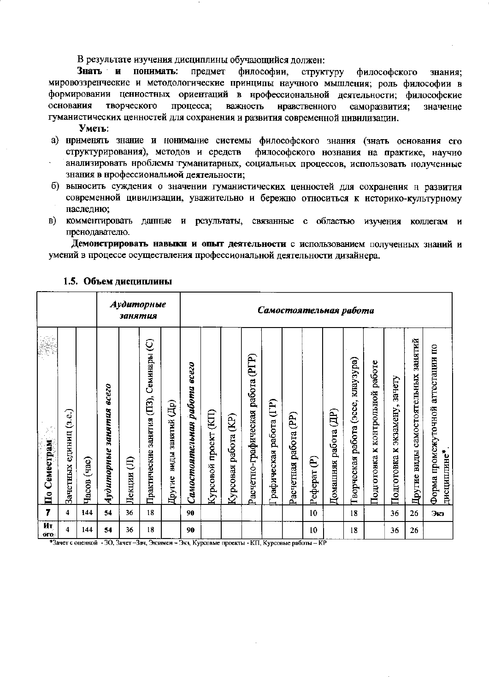В результате изучения дисциплины обучающийся должен:

Знать и понимать: предмет философии, структуру философского знания: мировоззренческие и методологические принципы научного мышления; роль философии в формировании ценностных ориентаций в нрофессиональной деятельности; философские процесса; основания творческого важность нравственного саморазвития; значение гуманистических ценностей для сохранения и развития современной цивилизации.

Уметь:

- а) нрименять знание и нонимание системы философского знания (знать основания его структурирования), методов и средств философского нознания на практике, научно анализировать нроблемы туманитарных, социальных процессов, использовать полученные знания в нрофессиональной деятельности:
- б) выносить суждения о значении гуманистических ценностей для сохранения н развития современной цивилизации, уважительно и бережно относиться к историко-культурному наследию;
- комментировать данные и результаты, связанные с областью изучения коллегам и B) пренодавателю.

Демонстрировать навыки и опыт деятельности с использованием полученных знаний и умений в процессе осуществления профессиональной деятельности дизайнера.

|                                                                               |                             |               |                                    | занятия     | Аудиторные                                     |                             | Самостоятельная работа       |                            |                                       |                                      |                        |                               |              |                         |                                             |                                          |                                                    |                                     |                                                  |
|-------------------------------------------------------------------------------|-----------------------------|---------------|------------------------------------|-------------|------------------------------------------------|-----------------------------|------------------------------|----------------------------|---------------------------------------|--------------------------------------|------------------------|-------------------------------|--------------|-------------------------|---------------------------------------------|------------------------------------------|----------------------------------------------------|-------------------------------------|--------------------------------------------------|
| ŝ<br>$\mathbb{R}^{n_{\text{c}}}_{\mathbb{R}^{d}}$<br>Семестрам<br>$\bar{\Xi}$ | (3.6)<br>единиц<br>Зачетных | (9a)<br>Часов | <b>8CC20</b><br>Аудиторные занятия | Ê<br>Лекции | Семинары (C)<br>(II3),<br>Практические занятия | виды занятий (Др)<br>Другие | Самостоятельния работа всего | (BI)<br>проект<br>Курсовой | $\widetilde{E}$<br>работа<br>Курсовая | работа (РГР)<br>Расчетно-графическая | рафическая работа (ГР) | <u>වි</u><br>Расчетная работа | ව<br>Реферат | pa6ora (IP)<br>Домашняя | клаузура)<br>(acce,<br>работа<br>Гворческая | работе<br>контрольной<br>×<br>Подготовка | зачету<br>$\mathbf{r}$<br>экзамену<br>Подготовка к | Другие виды самостоятельных занятий | Форма промежуточной аттестации по<br>дисциплине* |
| 7                                                                             | 4                           | 144           | 54                                 | 36          | 18                                             |                             | 90                           |                            |                                       |                                      |                        |                               | 10           |                         | 18                                          |                                          | 36                                                 | 26                                  | Экз                                              |
| Ит<br><b>OFO</b>                                                              | 4                           | 144           | 54                                 | 36          | 18                                             |                             | 90                           |                            |                                       |                                      |                        |                               | 10           |                         | 18                                          |                                          | 36                                                 | 26                                  |                                                  |

#### 1.5. Объем диспиплины

\*Зачет с оценкой - ЗО, Зачет -Зач, Экзамен - Экз, Курсовые проекты - КП, Курсовые работы - КР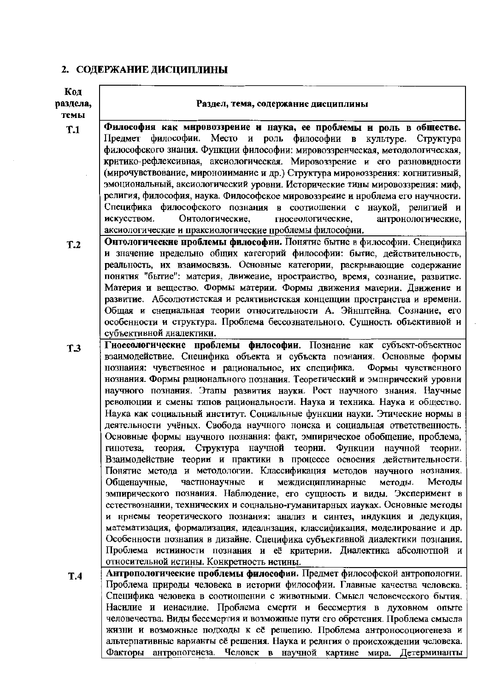# 2. СОДЕРЖАНИЕ ДИСЦИПЛИНЫ

| Код             |                                                                                                                                                         |
|-----------------|---------------------------------------------------------------------------------------------------------------------------------------------------------|
| раздела,        | Раздел, тема, содержание дисциплины                                                                                                                     |
| темы            |                                                                                                                                                         |
| T.1             | Философия как мировоззрение и наука, ее проблемы и роль в обществе.                                                                                     |
|                 | Предмет философии. Место и роль философии в культуре. Структура                                                                                         |
|                 | философского знания. Функции философии: мировоззренческая, методологическая,                                                                            |
|                 | критико-рефлексивная, аксиологическая. Мировоззрение и его разновидности                                                                                |
|                 | (мирочувствование, мироноиимание и др.) Структура мировоззрения: когнитивный,                                                                           |
|                 | эмоциональный, аксиологический уровни. Исторические тины мировоззрения: миф,                                                                            |
|                 | религия, философия, наука. Философское мировоззреиие и нроблема его научности.                                                                          |
|                 | Специфика философского познания в соотиошении с наукой, религией и                                                                                      |
|                 | Онтологические,<br>гносеологические,<br>антронологические,<br>искусством.                                                                               |
|                 | аксиологические и праксиологические проблемы философии.<br>Онтологические проблемы философии. Понятие бытие в философии. Снецифика                      |
| T <sub>.2</sub> | и значение нредельно общих категорий философии: бытие, действительность,                                                                                |
|                 | реальность, их взаимосвязь. Основные категории, раскрывающие содержание                                                                                 |
|                 | понятия "бытие": материя, движение, нростраиство, время, сознание, развитие.                                                                            |
|                 | Материя и вещество. Формы материи. Формы движения материи. Движение и                                                                                   |
|                 | развитие. Абсолютистская и релятивистская концепции пространства и времени.                                                                             |
|                 | Общая и снециальная теории относительности А. Эйнштейна. Сознание, его                                                                                  |
|                 | особенности и структура. Проблема бессознательного. Сущность объективной и                                                                              |
|                 | субъективной диалектики.                                                                                                                                |
| T.3             | Гиосеологические проблемы философии. Познание как субъект-объектное                                                                                     |
|                 | взаимодействие. Снецифика объекта и субъекта познания. Основные формы                                                                                   |
|                 | Формы чувственного<br>нознаиия: чувствеиное и рациональное, их специфика.                                                                               |
|                 | нознания. Формы рационального познания. Теоретический и эмпнрический уровни                                                                             |
|                 | научного познания. Этапы развития науки. Рост научного знания. Научные                                                                                  |
|                 | революции и смены типов рациональности. Наука и техника. Наука и общество.                                                                              |
|                 | Наука как социальный институт. Социальные функции науки. Этические нормы в                                                                              |
|                 | деятельности учёных. Свобода научного ноиска и социальная ответственность.                                                                              |
|                 | Основные формы научного познания: факт, эмпирическое обобщение, проблема,                                                                               |
|                 | теория. Структура научной теории. Функции научной теории.<br>гипотеза,                                                                                  |
|                 | Взаимодействие теории и практики в процессе освоения действительности.                                                                                  |
|                 | Понятие метода и методологии. Классификация методов научного нознания.                                                                                  |
|                 | и междисциплинарные<br>Методы<br>Общенаучные,<br>частнонаучные<br>методы.                                                                               |
|                 | эмпирического познания. Наблюдение, его сущность и виды. Эксперимент в                                                                                  |
|                 | естествознании, технических и соцнально-гуманитарных иауках. Основные методы<br>и нрнемы теоретического познания: анализ и синтез, индукция и дедукция, |
|                 | математизация, формализация, идеалнзация, классификация, моделирование и др.                                                                            |
|                 | Особенности познапия в дизайне. Специфика субъективной диалектики познания.                                                                             |
|                 | Проблема истииности познания и её критерии. Диалектика абсолютной и                                                                                     |
|                 | относительной истины. Конкретность истины.                                                                                                              |
| <b>T.4</b>      | Антропологические проблемы философии. Предмет философской антропологии.                                                                                 |
|                 | Проблема природы человека в истории философии. Главные качества человека.                                                                               |
|                 | Специфика человека в соотиошении с животными. Смысл человеческого бытия.                                                                                |
|                 | Насилие и иеиасилие. Проблема смерти и бессмертия в духовном опыте                                                                                      |
|                 | человечества. Виды бессмертия и возможные пути его обретения. Проблема смысла                                                                           |
|                 | жизни и возможные подходы к её решепию. Проблема антроносоциогенеза и                                                                                   |
|                 | альтерпативные варианты её решения. Наука и релнгия о происхождении человека.                                                                           |
|                 | Факторы антропогенеза Человек в научной картине мира Летерминанты                                                                                       |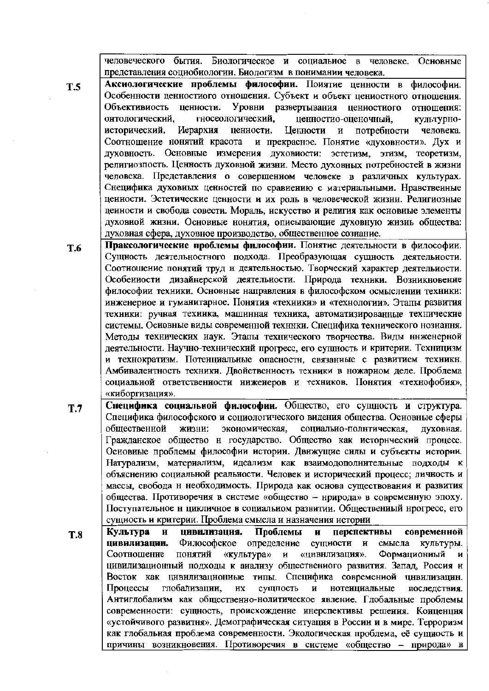человеческого бытия. Биологическое и социальное человеке. Основные  $\mathbf{B}$ представления социобиологии. Биологизм в понимании человека.

Аксиологические проблемы философии. Поиятие ценности в философии. Особенности ценностиого отношения. Субъект и объект цениостного отношения. Уровни развертывания ценностного Объективиость ценности. отношения: онтологический. гносеологический. ценностио-оценочный. культурноисторический. Иерархия ненности. **Пенности**  $\mathbf{H}$ потребности человека. и прекрасное. Понятие «духовности». Дух и Соотношение нонятий красота духовность. Основные измерения духовиости: эстетизм, этизм, теоретизм, религиозпость. Ценность духовной жизни. Место духовных потребностей в жизни человека. Представления о совершенном человеке в различных культурах. Снецифика духовных ценностей по сравнению с материальными. Нравственные ценности. Эстетические ценности и их роль в человеческой жизни. Религиозные ценности и свобода совести. Мораль, нскусство и религия как основные элементы духовной жизни. Основные нонятия, описывающие духовную жизнь общества: духовная сфера, духовное производство, общественное сознание.

Праксологические проблемы философии. Понятие деятельности в философии. T.6 Сущность деятельностного подхода. Преобразующая сущность деятельности. Соотношение понятий труд и деятельностью. Творческий характер деятельности. Особенности дизайнерской деятельности. Природа техники. Возникновенне философии техники. Основные направления в философском осмыслении техники: инженерное и гуманитарное. Понятия «техники» и «технологии». Этапы развития техники: ручная техника, машинная техника, автоматизированные технические системы. Основные вилы современной техники. Снецифика технического нознання. Метолы технических наук. Этапы технического творчества. Виды ннженерной деятельности. Научно-технический прогресс, его сущность и критерии. Техницизм и технократизм. Потенциальные опасностн, связанные с развитием техникн. Амбивалентность техники. Двойственность техники в ножарном деле. Проблема социальной ответственности ниженеров и техников. Понятия «технофобия», «киборгизация».

- Специфика социальной философии. Общество, его сущность и структура.  $T.7$ Специфика философского и социологического видения общества. Основные сферы экономическая, обшественной жизни: социально-полнтическая, духовная. Гражданское общество и государство. Общество как исторический процесс. Основные проблемы философии историн. Движущие снлы и субъекты истории. Натурализм, материализм, идеализм как взаимодополнительные подходы к объяснению социальной реальности. Человек и исторический процесс; личность и массы, свобода н необходимость. Природа как основа существования и развития общества. Противоречня в системе «общество - нрирода» в современную эпоху. Поступательное н цикличное в социальном развитии. Общественный нрогресс, его сущность и критерии. Проблема смысла и назначения истории
- цивилизация. Проблемы перспективы современной Культура  $\mathbf{H}$  $\mathbf{H}$ **T.8** цивилизации. Философское определение сущиости и смысла культуры. «культура» «цивнлизация». Формациониый Соотношение понятий и цивилизационный подходы к анализу обществениого развития. Запад, Россия н Восток как цивилизационные типы. Специфика современиой цивилизацин. Процессы глобализации, **HX** сущпость  $\mathbf{H}$ нотенциальные последствия. Антиглобализм как общественно-нолитическое явление. Глобальные проблемы современности: сущность, происхождение инерспективы решения. Конценция «устойчивого развитня». Демографическая ситуация в Россин и в мире. Терроризм как глобальная проблема современности. Экологическая проблема, её сущность и причины возникновения. Противоречия в системе «общество - природа»

**T.5**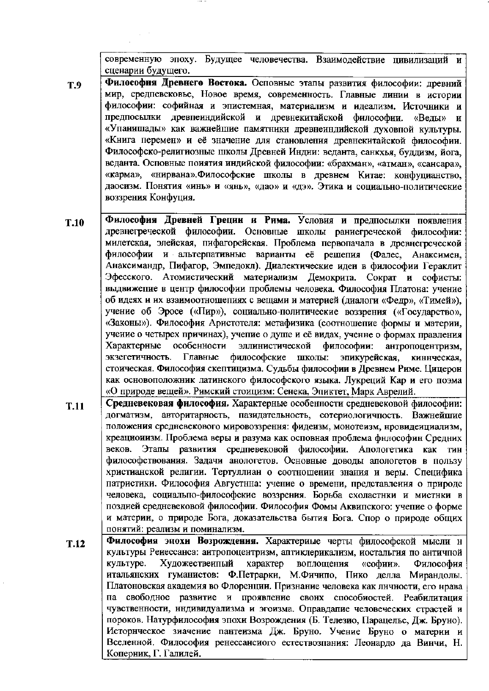современную эпоху. Будущее человечества. Взаимодействие цивилизаций и сценарии будущего.

- Философия Древнего Востока. Осповные этапы развития философии: древний **T.9** мир, средпевековье, Новое время, современность. Главные линии в истории философии: софийная и эпистемная, материализм и идеализм. Источники и предпосылки древпеиндийской и древнекитайской философии.  $\langle \text{Bern} \rangle$  $\mathbf{H}$ «Упанишады» как важнейшие памятники древнеиндийской духовпой культуры. «Книга перемен» и её значение для становления древнекитайской философии. Философско-религиозные школы Древней Индии: веданта, санкхья, буддизм, йога, веданта. Осповные поиятия индийской философии: «брахман», «атман», «сансара», «карма», «нирвана». Философские школы в древнем Китае: конфуцианство, даосизм. Понятия «инь» и «янь», «дао» и «дэ». Этика и социально-политические воззрения Конфуция.
- Философия Древней Греции и Рима. Условия и предпосылки появления  $T.10$ древнегреческой философии. Основные школы раниегреческой философии: милетская, элейская, пифагорейская. Проблема первопачала в древнегреческой философии и альтерпативные варианты её решепия (Фалес, Анаксимен, Анаксимандр, Пифагор, Эмпедокл). Диалектические идеи в философии Гераклит Эфесского. Атомистический материализм Демокрита. Сократ и софисты: выдвижение в центр философии проблемы человека. Философия Платона: учение об идеях и их взаимоотношепиях с вещами и материей (диалоги «Федр», «Тимей»), учение об Эросе («Пир»), социально-политические воззрения («Государство», «Законы»). Философия Аристотеля: метафизика (соотношепие формы и материи, учеиие о четырех причинах), учепие о душе и её видах, ученне о формах правления особенности Характерные эллинистической философии: антропоцентризм. экзегетичность. Главные философские школы: эпикурейская, киннческая, стоическая. Философия скептицизма. Судьбы философии в Древнем Риме. Цицерон как основоположник латинского философского языка. Лукреций Кар и его поэма «О природе вещей». Римский стоицизм: Сенека, Эпиктет, Марк Аврелий.
- Средневековая философия. Характерные особенности средневековой философии:  $T.11$ догматизм, авторитарность, пазидательность, сотериологичность. Важнейшие положения средневекового мировоззрення: фидеизм, монотеизм, нровидеициализм, креационизм. Проблема веры и разума как осповная проблема философин Средних веков. Этапы развития средпевековой философии. Апологетика как **THH** философствования. Задачи анологетов. Основные доводы апологетов в пользу христианской религии. Тертуллиан о соотношении знания и веры. Специфика патристики. Философия Августина: учение о времени, представления о природе человека, социальпо-философские воззрения. Борьба схоластнки и мистнки в поздией средневековой философии. Философия Фомы Аквипского: учепие о форме и материи, о природе Бога, доказательства бытия Бога. Спор о природе общих понятий: реализм и поминализм.
- Философия эпохи Возрождения. Характериые черты философской мысли н  $T.12$ культуры Ренессанса: антропоцентризм, аптиклерикализм, ностальгия по античпой культуре. Художественный характер воплощения «софии». Философия итальянских гуманистов: Ф.Петрарки, М.Фичипо, Пико делла Мирандолы. Платоновская академия во Флоренции. Признание человека как личности, его нрава па свободное развитие и проявление своих способиостей. Реабилитация чувственности, индивидуализма и эгоизма. Оправдалие человеческих страстей и пороков. Натурфилософия эпохи Возрождения (Б. Телезио, Парацельс, Дж. Бруно). Историческое зиачение пантеизма Дж. Бруно. Учение Бруно о материи и Вселенной. Философия ренессансиого естествозпания: Леонардо да Винчи, Н. Коперник, Г. Галилей.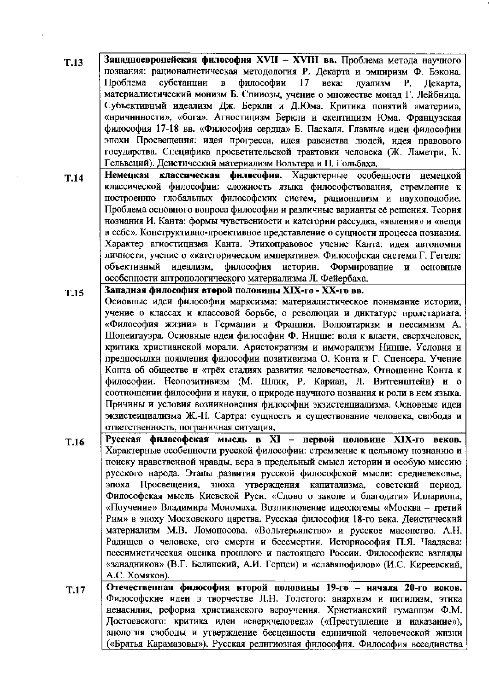- Западноевропейская философия XVII XVIII вв. Проблема метода научного  $T.13$ познания: рационалистическая методология Р. Декарта и эмпиризм Ф. Бэкона. философии Проблема субстанции  $\mathbf{B}$ 17 века: дуализм P. Декарта. материалистический монизм Б. Спинозы, учение о множестве монад Г. Лейбница. Субъективный идеализм Дж. Беркли и Д.Юма. Критика понятий «материи», «нричинности», «бога». Агностицизм Беркли и скептицизм Юма. Французская философия 17-18 вв. «Философия сердца» Б. Паскаля. Главные идеи философии эпохи Просвещения: идея прогресса, идея равеиства людей, идея правового государства. Специфика просветительской трактовки человека (Ж. Ламетри, К. Гельвеций). Деистический материализм Вольтера и П. Гольбаха.
- Немецкая классическая философия. Характерные особенности немецкой  $T.14$ классической философии: сложность языка философствования, стремление к построению глобальных философских систем, рационализм и наукоподобие. Проблема основного вопроса философии и различные варианты её решения. Теория нознания И. Канта: формы чувствениости и категории рассудка, «явления» и «вещи в себе». Конструктивно-проективное представление о сущности процесса познания. Характер агностицизма Канта. Этикоправовое учение Канта: идея автономни личности, учение о «категорическом императиве». Философская система Г. Гегеля: объективный идеализм, философия истории. Формирование и основные особенности антропологического материализма Л. Фейербаха.
- Западная философия второй половины XIX-го XX-го вв.  $T.15$ Осиовные идеи философни марксизма: материалистическое поннмание истории, учение о классах и классовой борьбе, о революции и диктатуре нролетариата. «Философия жизни» в Германии и Франции. Волюитаризм и пессимизм А. Шопенгауэра. Осиовные идеи философии Ф. Ницше: воля к власти, сверхчеловек, критика христианской морали. Аристократизм и имморализм Ницше. Условия и предпосылки появления философии позитивизма О. Конта и Г. Спенсера. Учение Копта об обществе и «трёх стадиях развития человечества». Отношенне Конта к философии. Неопозитивизм (М. Шлик, Р. Кариан, Л. Витгеиштейн) и о соотношении философни и науки, о природе научного нознания и роли в нем языка. Причины и условия возникновения философни экзистенниализма. Основные идеи экзистенциализма Ж.-П. Сартра: сущность и существование человека, свобода и ответственность, пограничная ситуация.
- Русская философская мысль в XI первой половине XIX-го веков.  $T.16$ Характерные особепности русской философии: стремление к цельному познанию и поиску нравственной нравды, вера в предельный смысл истории и особую миссию русского народа. Этапы развития русской философской мысли: средневековье, эпоха Просвещения, эпоха утверждения капитализма, советский период. Философская мысль Киевской Руси. «Слово о закопе и благодати» Иллариопа, «Поучение» Владимира Мономаха. Возликловение идеологемы «Москва - третий Рим» в эпоху Московского царства. Русская философия 18-го века. Деистический материализм М.В. Ломоносова. «Вольтерьянство» и русское масопство. А.Н. Радищев о человеке, его смерти и бессмертии. Исторнософия П.Я. Чаадаева: пессимистическая оцеика прошлого и пастоящего России. Философские взгляды «занадников» (В.Г. Белипский, А.И. Герцеи) и «славянофилов» (И.С. Киреевский, А.С. Хомяков).
- Отечественная философия второй половины 19-го начала 20-го веков. T.17 Философские идеи в творчестве Л.Н. Толстого: анархнзм и пигилизм, этика ненасилия, реформа христианского вероучения. Христианский гуманнзм Ф.М. Достоевского: критика идеи «сверхчеловека» («Преступление и иаказаиие»), анологня свободы и утверждение бесценности единичной человеческой жизни («Братья Карамазовы»). Русская религиозная философия. Философия всеединства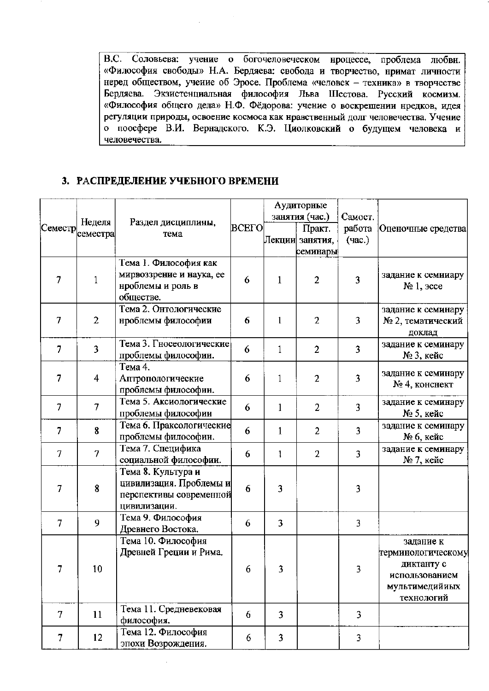В.С. Соловьева: учение о богочеловеческом нроцессе, проблема любви. «Философия свободы» Н.А. Бердяева: свобода и творчество, нримат личности неред обществом, учение об Эросе. Проблема «человек - техника» в творчестве Бердяева. Экзистенциальная философия Льва Шестова. Русский космизм. «Философия общего дела» Н.Ф. Фёдорова: учение о воскрешении нредков, идея регуляции природы, освоение космоса как нравственный долг человечества. Учение о поосфере В.И. Вернадского. К.Э. Циолковский о будущем человека и человечества.

## 3. РАСПРЕДЕЛЕНИЕ УЧЕБНОГО ВРЕМЕНИ

|                   |                     |                                                                                          |       |              | Аудиторные<br>занятия (час.)            | Самост.          |                                                                                                 |
|-------------------|---------------------|------------------------------------------------------------------------------------------|-------|--------------|-----------------------------------------|------------------|-------------------------------------------------------------------------------------------------|
| $[{\rm Cemecrp}]$ | Неделя<br> семестра | Раздел дисциплины,<br>тема                                                               | BCEFO |              | Практ.<br>Лекции  занятия,<br>семинары⊧ | работа<br>(час.) | Оценочные средства                                                                              |
| $\overline{7}$    | 1                   | Тема 1. Философия как<br>мирвоззрение и наука, ее<br>нроблемы и роль в<br>обществе.      | 6     | $\mathbf{1}$ | $\overline{2}$                          | 3                | задание к семииару<br>$N2 1$ , $3cce$                                                           |
| $\overline{7}$    | $\overline{2}$      | Тема 2. Онтологические<br>нроблемы философии                                             | 6     | 1            | $\overline{2}$                          | 3                | задание к семинару<br>№ 2, тематический<br>доклад                                               |
| $\overline{7}$    | 3                   | Тема 3. Гносеологические<br>проблемы философии.                                          | 6     | $\mathbf{1}$ | $\overline{2}$                          | 3                | задание к семинару<br>№ 3, кейс                                                                 |
| $\overline{7}$    | 4                   | Тема 4.<br>Аптропологические<br>проблемы философии.                                      | 6     | 1            | $\overline{2}$                          | 3                | задание к семинару<br>№ 4, конснект                                                             |
| 7                 | 7                   | Тема 5. Аксиологические<br>проблемы философии                                            | 6     | 1            | $\overline{2}$                          | 3                | задание к семинару<br>№ 5, кейс                                                                 |
| 7                 | 8                   | Тема 6. Праксологические<br>проблемы философии.                                          | 6     | $\mathbf{1}$ | $\overline{2}$                          | 3                | задание к семинару<br>№ 6, кейс                                                                 |
| $\overline{7}$    | $\overline{7}$      | Тема 7. Специфика<br>социальной философии.                                               | 6     | 1            | $\overline{2}$                          | 3                | задание к семинару<br>№ 7, кейс                                                                 |
| $\overline{7}$    | 8                   | Тема 8. Культура и<br>цивилизация. Проблемы и<br>перспективы современной<br>цивилизации. | 6     | 3            |                                         | 3                |                                                                                                 |
| 7                 | 9                   | Тема 9. Философия<br>Древнего Востока.                                                   | 6     | 3            |                                         | $\overline{3}$   |                                                                                                 |
| 7                 | 10                  | Тема 10. Философия<br>Древней Греции и Рима.                                             | 6     | 3            |                                         | 3                | задание к<br>терминологическому<br>диктанту с<br>использованием<br>мультимедийиых<br>технологий |
| $\overline{7}$    | 11                  | Тема 11. Средневековая<br>философия.                                                     | 6     | 3            |                                         | 3                |                                                                                                 |
| 7                 | 12                  | Тема 12. Философия<br>эпохи Возрождения.                                                 | 6     | 3            |                                         | 3                |                                                                                                 |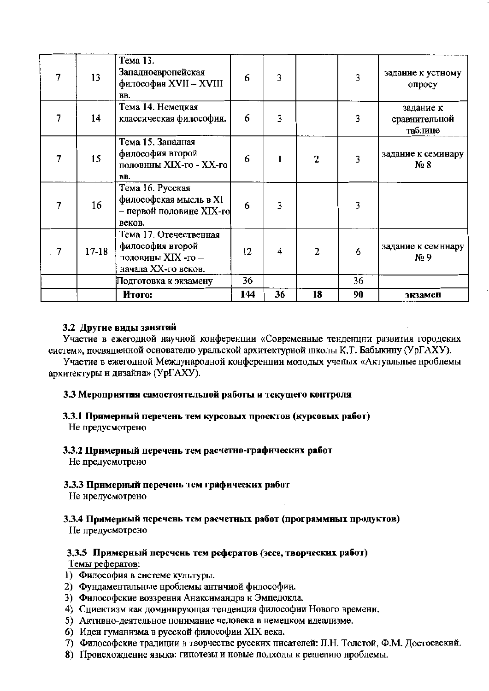|   | 13        | Тема 13.<br>Западноевропейская<br>философия XVII - XVIII<br>BB.                         | 6   | 3  |    |    | задание к устному<br>опросу           |
|---|-----------|-----------------------------------------------------------------------------------------|-----|----|----|----|---------------------------------------|
| 7 | 14        | Тема 14. Немецкая<br>классическая философия.                                            | 6   | 3  |    | 3  | задание к<br>сравнительной<br>таблице |
|   | 15        | Тема 15. Западная<br>философия второй<br>половнны XIX-го - XX-го<br>BB.                 | 6   |    | 2  | 3  | задание к семинару<br>$N_2$ 8         |
|   | 16        | Тема 16. Русская<br>философская мысль в XI<br>– первой половине XIX-го<br>веков.        | 6   | 3  |    | 3  |                                       |
| 7 | $17 - 18$ | Тема 17. Отечественная<br>философия второй<br>половины XIX -го -<br>начала XX-го веков. | 12  | 4  | 2  | 6  | задание к семннару<br>$N_2$ 9         |
|   |           | Подготовка к экзамену                                                                   | 36  |    |    | 36 |                                       |
|   |           | Итого:                                                                                  | 144 | 36 | 18 | 90 | экзамен                               |

## 3.2 Другие виды занятий

Участие в ежегодной научной конференции «Современные тенденции развития городских систем», посвященной основателю уральской архитектурной школы К.Т. Бабыкину (УрГАХУ).

Участие в ежегодной Международной конференции молодых ученых «Актуальные нроблемы архитектуры и дизайна» (УрГАХУ).

## 3.3 Мероприятия самостоятельной работы и текущего контроля

- 3.3.1 Примерный перечень тем курсовых проектов (курсовых работ) Не предусмотрено
- 3.3.2 Примерный перечень тем расчетно-графических работ Не предусмотрено

#### 3.3.3 Примерный перечень тем графических работ

Не нредусмотрено

3.3.4 Примерный перечень тем расчетных работ (программных продуктов)

Не предусмотрено

# 3.3.5 Примерный перечень тем рефератов (эссе, творческих работ)

Темы рефератов:

- 1) Философия в системе культуры.
- 2) Фундаментальные нроблемы античиой философии.
- 3) Философские воззрения Анаксимандра н Эмпедокла.
- 4) Сциентизм как доминирующая тенденция философии Нового времени.
- 5) Активно-деятельное понимание человека в немецком идеализме.
- 6) Идеи гуманизма в русской философии XIX века.
- 7) Философские традиции в творчестве русских писателей: Л.Н. Толстой, Ф.М. Достоевский.
- 8) Происхождение языка: гипотезы и новые подходы к решению нроблемы.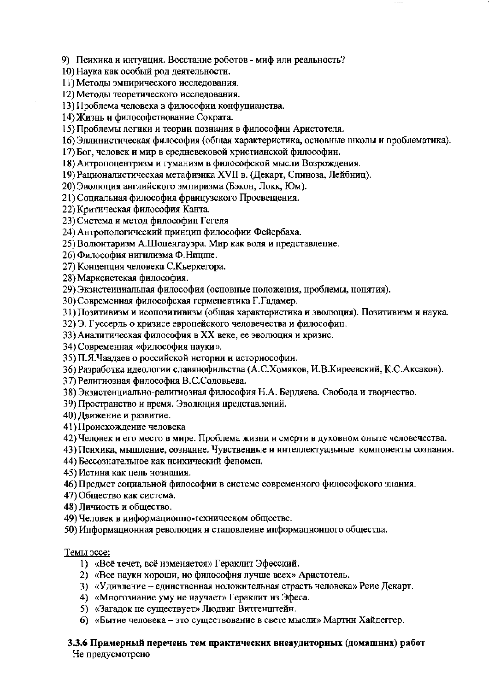9) Психика и интуиция. Восстание роботов - миф или реальность?

- 10) Наука как особый род деятельности.
- 11) Методы эмнирического исследования.
- 12) Методы теоретического исследования.

13) Проблема человека в философии конфуцианства.

14) Жизнь и философствование Сократа.

15) Проблемы логики и теории познания в философии Аристотеля.

16) Эллинистическая философия (общая характеристика, основные школы и проблематика).

17) Бог, человек и мир в средневековой христианской философин.

18) Антропоцентризм и гуманизм в философской мысли Возрождения.

19) Рационалистическая метафизнка XVII в. (Декарт, Спиноза, Лейбниц).

20) Эволюция английского эмпиризма (Бэкон, Локк, Юм).

21) Социальная философия французского Просвещения.

22) Критическая философия Канта.

23) Система и метод философин Гегеля

24) Антропологический принцип философии Фейербаха.

25) Волюнтаризм А.Шопенгауэра. Мир как воля и представление.

26) Философия нигилизма Ф. Ницше.

27) Концепция человека С.Кьеркегора.

28) Марксистская философия.

29) Экзистеициальная философия (основные положения, проблемы, нонятия).

30) Современная философская герменевтика Г.Гадамер.

31) Позитивизм и иеопозитивизм (общая характеристика и эволюция). Позитивизм и наука.

32) Э. Гуссерль о кризисе европейского человечества и философин.

33) Аналитическая философия в XX веке, ее эволюция и кризис.

34) Современная «философия науки».

35) П.Я. Чаадаев о российской истории и историософии.

36) Разработка идеологии славянофильства (А.С.Хомяков, И.В.Киреевский, К.С.Аксаков).

37) Религиозная философия В.С.Соловьева.

38) Экзистенциально-религиозная философия Н.А. Бердяева. Свобода и творчество.

39) Пространство и время. Эволюция представлений.

40) Движение и развитие.

41) Происхождение человека

42) Человек и его место в мире. Проблема жизни и смерти в духовном оныте человечества.

43) Психика, мыпление, сознанне. Чувствениые и интеллектуальные компоненты сознания.

44) Бессознательное как нсихический феномен.

45) Истина как цель нозиания.

46) Предмет социальной философии в системе современного философского знания.

47) Общество как система.

48) Личность и общество.

49) Человек в информационно-техническом обществе.

50) Информационная революция и становление информационного общества.

Темы эссе:

- 1) «Всё течет, всё изменяется» Гераклит Эфесский.
- 2) «Все науки хороши, но философия лучше всех» Аристотель.
- 3) «Удивление едннственная ноложительная страсть человека» Реие Декарт.
- 4) «Многозиание уму не научает» Гераклит нз Эфеса.
- 5) «Загадок не существует» Людвиг Витгенцгтейн.
- 6) «Бытие человека это существование в свете мысли» Мартин Хайдеггер.

## 3.3.6 Примерный перечень тем практических внеаудиторных (домашних) работ

Не предусмотрено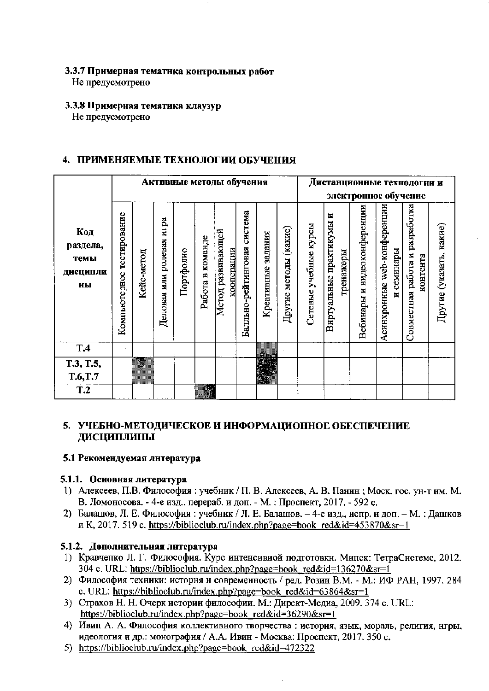### 3.3.7 Примерная тематика контрольных работ

Не предусмотрено

## 3.3.8 Примерная тематика клаузур

Не предусмотрено

## 4. ПРИМЕНЯЕМЫЕ ТЕХНОЛОГИИ ОБУЧЕНИЯ

|                                           |                              |            |                             |           |                  | Активные методы обучения        |                                |                       |                             |                          |                                          |                                | Дистанционные технологии и              |                                            |                         |
|-------------------------------------------|------------------------------|------------|-----------------------------|-----------|------------------|---------------------------------|--------------------------------|-----------------------|-----------------------------|--------------------------|------------------------------------------|--------------------------------|-----------------------------------------|--------------------------------------------|-------------------------|
|                                           |                              |            |                             |           |                  |                                 |                                |                       |                             |                          |                                          |                                | электронное обучение                    |                                            |                         |
| Код<br>раздела,<br>темы<br>дисципли<br>иы | тестирование<br>Компьютерное | Кейс-метод | ролевая игра<br>Деловая или | Портфолно | Работа в команде | Метод развивающей<br>кооперации | система<br>Балльно-рейтинговая | задания<br>Креативные | (какие)<br>методы<br>Другие | учебные курсы<br>Сетевые | E<br>Виртуальные практикумы<br>гренажеры | и видеоконференции<br>Вебинары | Асинхронные web-конференции<br>семинары | Совместная работа и разработка<br>контента | Другие (указать, какие) |
| T <sub>.4</sub>                           |                              |            |                             |           |                  |                                 |                                |                       |                             |                          |                                          |                                |                                         |                                            |                         |
| T.3, T.5,<br>T.6, T.7                     |                              | Ţ          |                             |           |                  |                                 |                                |                       |                             |                          |                                          |                                |                                         |                                            |                         |
|                                           |                              |            |                             |           |                  |                                 |                                |                       |                             |                          |                                          |                                |                                         |                                            |                         |
| T.2                                       |                              |            |                             |           |                  |                                 |                                |                       |                             |                          |                                          |                                |                                         |                                            |                         |

## 5. УЧЕБНО-МЕТОДИЧЕСКОЕ И ИНФОРМАЦИОННОЕ ОБЕСПЕЧЕНИЕ ДИСЦИПЛИНЫ

## 5.1 Рекомендуемая литература

## 5.1.1. Основная литература

- 1) Алексеев, П.В. Философия: учебник / П. В. Алексеев, А. В. Панин; Моск. гос. ун-т им. М. В. Ломоносова. - 4-е изд., перераб. и доп. - М. : Проспект, 2017. - 592 с.
- 2) Балашов, Л. Е. Философия: учебник / Л. Е. Балашов. 4-е изд., испр. и доп. М. : Дашков и К, 2017. 519 с. https://biblioclub.ru/index.php?page=book\_red&id=453870&sr=1

## 5.1.2. Дополнительная литература

- 1) Кравчепко Л. Г. Философия. Курс интенсивиой подготовки. Мипск: ТетраСистемс, 2012. 304 c. URL: https://biblioclub.ru/index.php?page=book\_red&id=136270&sr=1
- 2) Философия техники: исторня и совремеиность / ред. Розин В.М. М.: ИФ РАН, 1997. 284 c. URL: https://biblioclub.ru/index.php?page=book red&id=63864&sr=1
- 3) Страхов Н. Н. Очерк истории философии. М.: Директ-Медиа, 2009. 374 с. URL: https://biblioclub.ru/index.php?page=book red&id=36290&sr=1
- 4) Ивип А. А. Философия коллективного творчества: история, язык, мораль, религия, нгры, идеология и др.: монография / А.А. Ивин - Москва: Проспект, 2017. 350 с.
- 5) https://biblioclub.ru/index.php?page=book red&id=472322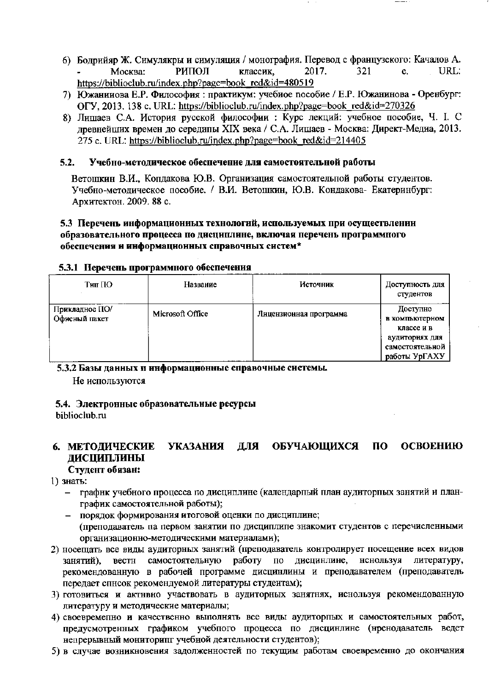- 6) Бодрийяр Ж. Симулякры и симуляция / монография. Перевод с французского: Качалов А. Москва: РИПОЛ классик. 2017.  $321$  $\mathbf{c}$ . URL: https://biblioclub.ru/index.php?page=book\_red&id=480519
- 7) Южанинова Е.Р. Философия: практикум: учебиое пособие / Е.Р. Южанинова Оренбург: OFY, 2013. 138 c. URL: https://biblioclub.ru/index.php?page=book red&id=270326
- 8) Лишаев С.А. История русской философии : Курс лекций: учебное пособие, Ч. І. С древнейших времен до середины XIX века / С.А. Лишаев - Москва: Директ-Медиа, 2013. 275 c. URL: https://biblioclub.ru/index.php?page=book\_red&id=214405

#### Учебно-методическое обеспечение для самостоятельной работы  $5.2.$

Ветошкин В.И., Копдакова Ю.В. Организация самостоятельной работы студентов. Учебно-методическое пособие. / В.И. Ветошкин, Ю.В. Кондакова- Екатеринбург: Архитектон. 2009. 88 с.

### 5.3 Перечень информационных технологий, используемых при осуществленин образовательного процесса по дисциплине, включая перечень программного обеспечения и информационных справочных систем\*

| Тип ПО                          | Название         | Источник               | Доступность для<br>студентов                       |
|---------------------------------|------------------|------------------------|----------------------------------------------------|
| Прикладное ПО/<br>Офисный пакет | Microsoft Office | Лицензионная программа | Доступно<br>в компьютерном<br>классе и в           |
|                                 |                  |                        | аудиториях для<br>самостоятельной<br>работы УрГАХУ |

#### 5.3.1 Перечень программного обеспечения

5.3.2 Базы данных и информационные справочные системы.

Не используются

# 5.4. Электронные образовательные ресурсы

hiblioclub.ru

#### УКАЗАНИЯ ДЛЯ **ОБУЧАЮЩИХСЯ**  $\mathbf{u}$ **ОСВОЕНИЮ** 6. МЕТОДИЧЕСКИЕ **ЛИСШИПЛИНЫ**

## Студент обязан:

- 1) знать:
	- графнк учебного процесса по дисциплине (календарпый план аудиторпых занятий и планграфик самостоятельной работы);
	- порядок формирования итоговой оценки по дисциплине; (преподаватель па первом занятии по дисциплипе знакомит студентов с перечисленными организационно-методическими материалами);
- 2) носещать все виды аудиторных занятий (преподаватель контролирует посещение всех видов занятий), вестн самостоятельную работу по дисцинлине, ненользуя литературу, рекомендованную в рабочей программе дисцинлины и преподавателем (преподаватель передает спнсок рекомендуемой литературы студентам);
- 3) готовиться и актнвно участвовать в аудиторных занятнях, иснользуя рекомендованную литературу и методические материалы;
- 4) своевременно и качественно выполнять все виды аудиторных и самостоятельных работ, предусмотренных графиком учебного процесса по дисцинлине (нренодаватель ведет непрерывный мониторипг учебной деятельности студентов);
- 5) в случае возникновения задолженностей по текущим работам своевременно до окончания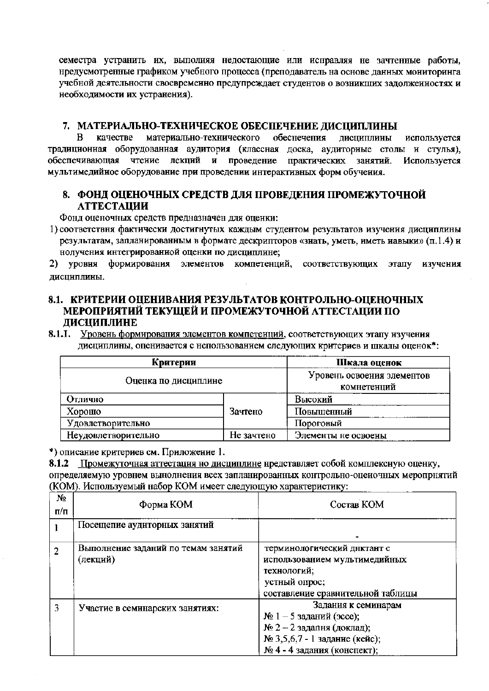семестра устранить их, выполняя недостающие или исправляя не зачтенные работы, нредусмотренные графиком учебного процесса (преподаватель на основе данных мониторинга учебной деятельности своевременно предупреждает студентов о возникших задолженностях и необходимости их устранения).

## 7. МАТЕРИАЛЬНО-ТЕХНИЧЕСКОЕ ОБЕСПЕЧЕНИЕ ДИСЦИПЛИНЫ

 $\bf{B}$ материально-технического обеснечения качестве дисциплины используется традиционная оборудованная аудитория (классная доска, аудиторные столы и стулья). обеспечивающая чтение лекций и проведение практических занятий. Используется мультимедийное оборудование при проведении интерактивных форм обучения.

## 8. ФОНД ОЦЕНОЧНЫХ СРЕДСТВ ДЛЯ ПРОВЕДЕНИЯ ПРОМЕЖУТОЧНОЙ **АТТЕСТАЦИИ**

Фонд оценочных средств предназначен для оценки:

1) соответствня фактически достигнутых каждым студентом результатов изучення дисциплины результатам, запланированным в формате дескрипторов «знать, уметь, иметь навыки» (п.1.4) н нолучения интегрированной оценки по дисциплине;

2) уровня формирования элементов компетенций, соответствующих этапу изучения дисциплины.

## 8.1. КРИТЕРИИ ОЦЕНИВАНИЯ РЕЗУЛЬТАТОВ КОНТРОЛЬНО-ОЦЕНОЧНЫХ МЕРОПРИЯТИЙ ТЕКУЩЕЙ И ПРОМЕЖУТОЧНОЙ АТТЕСТАЦИИ ПО ДИСЦИПЛИНЕ

8.1.1. Уровень формирования элементов компетенций, соответствующих этапу изучения дисциплины, оценивается с нспользованием следующих критериев и шкалы оценок\*:

| Критерии             | Шкала оценок                              |                     |  |
|----------------------|-------------------------------------------|---------------------|--|
| Оценка по дисциплине | Уровень освоения элементов<br>комнетенций |                     |  |
| Отлично              |                                           | Высокий             |  |
| Хорошо               | Зачтено                                   | Повышенный          |  |
| Удовлетворительно    |                                           | Пороговый           |  |
| Неудовлетворительно  | Не зачтено                                | Элементы не освоены |  |

\*) описание критериев см. Приложение 1.

8.1.2 Промежуточная аттестация но дисциплине нредставляет собой комплексную оценку,

определяемую уровнем вынолнения всех запланированных контрольно-оценочных меропрнятий (КОМ). Используемый набор КОМ имеет следующую характеристику:

| Nº.<br>$\Pi/\Pi$ | Форма КОМ                                       | Состав КОМ                                                                                                                                        |
|------------------|-------------------------------------------------|---------------------------------------------------------------------------------------------------------------------------------------------------|
|                  | Посещепие аудиторных занятий                    |                                                                                                                                                   |
| $\overline{2}$   | Выполнение заданий по темам занятий<br>(лекцнй) | терминологический днктант с<br>использованием мультимедийных<br>технологий;<br>устный опрос;<br>составление сравнительной таблицы                 |
| 3                | Участие в семннарских занятиях:                 | Задания к семинарам<br>$N2 1 − 5$ заданий (эссе);<br>$N2$ 2 – 2 задапня (доклад);<br>№ 3,5,6,7 - 1 заданне (кейс);<br>№ 4 - 4 задания (конспект); |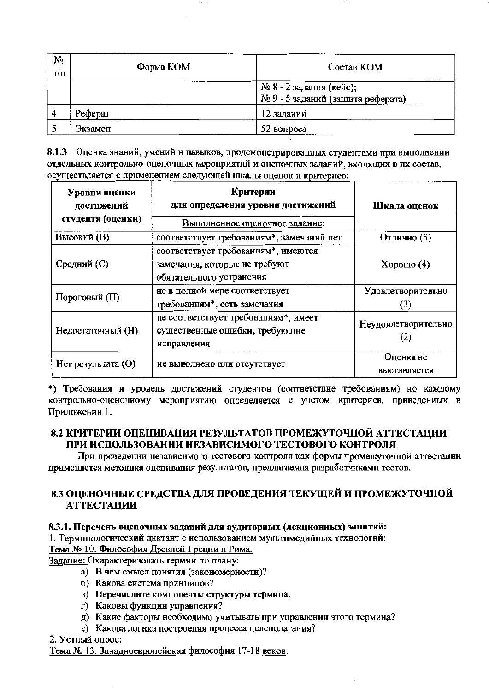| $N_2$<br>$\Pi/\Pi$ | Форма КОМ | Состав КОМ                                                   |
|--------------------|-----------|--------------------------------------------------------------|
|                    |           | № 8 - 2 задания (кейс);<br>№ 9 - 5 заданий (защита реферата) |
|                    | Реферат   | 12 заданий                                                   |
|                    | Экзамен   | 52 вопроса                                                   |

8.1.3 Оценка знаний, умений и павыков, продемонстрированных студентами при выполпении отдельных контрольно-оцепочных мероприятий и оцепочных заданий, входящих в их состав, осуществляется с применением следующей шкалы оценок и критериев:

| Уровни оценки<br>достнжений<br>студента (оценки) | Критерии<br>для определения уровня достнжений                                                    | Шкала оценок              |  |  |
|--------------------------------------------------|--------------------------------------------------------------------------------------------------|---------------------------|--|--|
|                                                  | Выполненное оцеиочное задание:                                                                   |                           |  |  |
| Высокий (В)                                      | соответствует требованиям*, замечаний пет                                                        | Отлично (5)               |  |  |
| Средний (С)                                      | соответствует требованиям*, имеются<br>замечания, которые не требуют<br>обязательного устранения | Хорошо $(4)$              |  |  |
| Пороговый (П)                                    | не в полной мере соответствует<br>требованиям*, есть замечания                                   | Удовлетворительно<br>3)   |  |  |
| Недостаточный (Н)                                | не соответствует требованиям*, имеет<br>существенные ошибки, требующие<br>исправления            | Неудовлетворительно       |  |  |
| Нет результата (О)                               | не выполнено или отсутствует                                                                     | Оценка не<br>выставляется |  |  |

\*) Требования и уровень достижений студентов (соответствие требованиям) но каждому контрольно-оценочному мероприятию определяется с учетом критериев, приведениых в Приложении 1.

## 8.2 КРИТЕРИИ ОПЕНИВАНИЯ РЕЗУЛЬТАТОВ ПРОМЕЖУТОЧНОЙ АТТЕСТАЦИИ ПРИ ИСПОЛЬЗОВАНИИ НЕЗАВИСИМОГО ТЕСТОВОГО КОНТРОЛЯ

При проведении независимого тестового контроля как формы промежуточной аттестации ноименяется методнка оценивания результатов, предлагаемая разработчиками тестов.

## 8.3 ОПЕНОЧНЫЕ СРЕДСТВА ДЛЯ ПРОВЕДЕНИЯ ТЕКУЩЕЙ И ПРОМЕЖУТОЧНОЙ **АТТЕСТАЦИИ**

## 8.3.1. Перечень оценочных заданий для аудиторных (лекционных) занятий:

1. Терминологический диктант с использованием мультимедийных технологий:

Тема № 10. Философия Древней Греции и Рима.

Задание: Охарактеризовать термии по плану:

- а) В чем смысл понятия (закономерности)?
- б) Какова система принцинов?
- в) Перечислите компоненты структуры термина.
- г) Каковы функции управления?
- д) Какие факторы необходимо учитывать при управлении этого термина?
- е) Какова логика построения процесса целенолагания?

2. Устный опрос:

Тема № 13. Занадноевропейская философия 17-18 веков.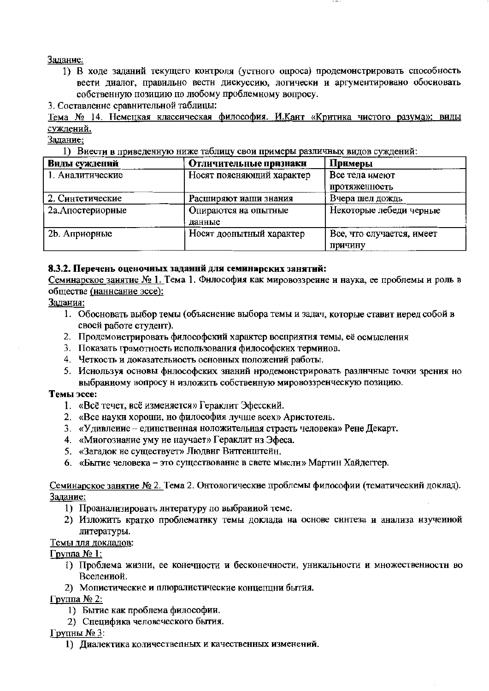## Залание:

1) В ходе заданий текущего контроля (устного опроса) продемонстрировать способность вести диалог, правильно вестн дискуссию, логически и аргументировано обосновать собственную позицию по любому проблемному вопросу.

3. Составление сравнительной таблицы:

Тема № 14. Немецкая классическая философия. И.Кант «Критика чистого разума»: виды суждений.

Задание:

1) Внести в приведенную ниже таблицу свои примеры различных видов суждений:

| Виды суждений     | Отличительные признаки    | Примеры                   |
|-------------------|---------------------------|---------------------------|
| 1. Аналитические  | Носят поясняющий характер | Все тела имеют            |
|                   |                           | протяженность             |
| 2. Синтетические  | Расширяют иаши знания     | Вчера шел дождь           |
| 2а. Апостериорные | Опираются на опытные      | Некоторые лебеди черные   |
|                   | данные                    |                           |
| 2b. Априорные     | Носят доопытный характер  | Все, что случается, имеет |
|                   |                           | Причину                   |

## 8.3.2. Перечень оценочных заданий для семинарских занятий:

Семинарское занятие № 1. Тема 1. Фнлософия как мировоззреине и наука, ее проблемы и роль в обществе (наннсание эссе):

## Залания:

- 1. Обосновать выбор темы (объяснение выбора темы и задач, которые ставит неред собой в своей работе студент).
- 2. Продемонстрировать философский характер восприятия темы, её осмысления
- 3. Показать грамотность использования философских терминов.
- 4. Четкость и доказательиость основных положений работы.
- 5. Иснользуя основы философских знаний нродемонстрировать различные точки зрения но выбранному вопросу н изложить собственную мировоззренческую позицию.

#### Темы эссе:

- 1. «Всё течет, всё изменяется» Гераклит Эфесский.
- 2. «Все науки хороши, но философия лучше всех» Аристотель.
- 3. «Удивление единственная ноложительная страсть человека» Рене Декарт.
- 4. «Миогозиание уму не научает» Гераклит из Эфеса.
- 5. «Загадок не существует» Людвиг Витгенштейн.
- 6. «Бытие человека это существование в свете мысли» Мартин Хайдеггер.

## Семинарское занятие № 2. Тема 2. Онтологические проблемы философии (тематический доклад). Задание:

- 1) Проанализировать литературу по выбранной теме.
- 2) Изложить кратко проблематику темы доклада на основе синтеза и анализа изученной литературы.

#### Темы для докладов:

## $Γ$ руппа № 1:

- 1) Проблема жизни, ее конечности и бесконечности, уникальности и множествениостн во Вселенной.
- 2) Мопистические и плюралистические концепции бытия.

Группа № 2:

- 1) Бытие как проблема философии.
- 2) Специфика человеческого бытия.

Групны № 3:

1) Диалектика количествелных и качественных изменений.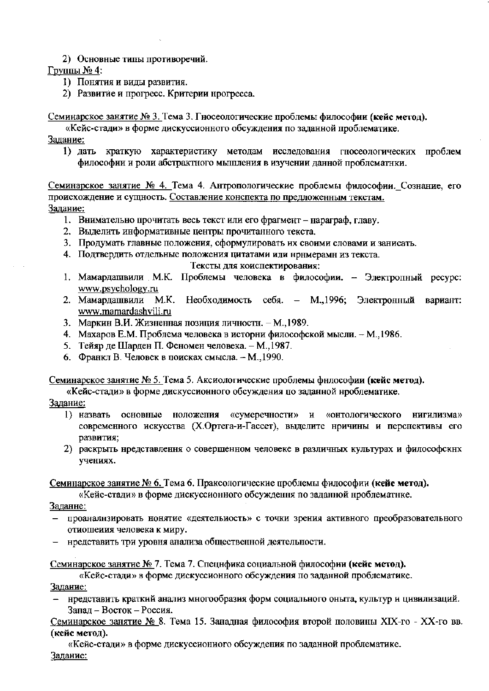2) Основные типы противоречий.

Группы № 4:

- 1) Понятия и виды развития.
- 2) Развитие и прогресс. Критерии нрогресса.

Семинарское занятие № 3. Тема 3. Гносеологические проблемы философии (кейс метод).

«Кейс-стади» в форме дискуссионного обсуждения по заданной проблематике.

Залание:

1) дать краткую характеристику методам исследования гносеологических проблем философии и роли абстрактного мышления в изучении данной проблематнки.

Семинарское занятие № 4. Тема 4. Антропологические проблемы философии. Сознание, его происхождение и сущность. Составление конспекта по предложенным текстам. Задание:

- 1. Внимательно прочитать весь текст или его фрагмент нараграф, главу.
- 2. Выделить информативные центры прочитанного текста.
- 3. Продумать главные положения, сформулировать их своими словами и занисать.
- 4. Подтвердить отдельные положения цитатами или нримерами из текста.

Тексты для коиспектирования:

- 1. Мамардашвили М.К. Проблемы человека в философии. Электропный ресурс: www.psychology.ru
- 2. Мамардашвили М.К. Необходимость себя. М.,1996; Электронный вариант: www.mamardashvili.ru
- 3. Маркин В.И. Жизненная позиция личностн. М., 1989.
- 4. Махаров Е.М. Проблема человека в исторни философской мысли. М., 1986.
- 5. Тейяр де Шарден П. Феномен человека. М., 1987.
- 6. Франкл В. Человек в поисках смысла. М., 1990.

Семинарское занятие № 5. Тема 5. Аксиологические проблемы фнлософии (кейс метод).

«Кейс-стади» в форме дискуссионного обсуждения по заданной нроблематике.

- Задание:
	- 1) назвать основные ноложепия «сумеречности» и «онтологического нигилизма» современного искусства (Х.Ортега-и-Гассет), выделите нричины и перспективы его развития;
	- 2) раскрыть нредставлення о совершенном человеке в различных культурах и философскнх учениях.

Семинарское занятие № 6. Тема 6. Праксологические проблемы философии (кейс метод).

«Кейс-стади» в форме дискуссионного обсуждення по заданной нроблематнке.

Заданне:

- проаналнзировать нонятие «деятельиость» с точки зрения активного преобразовательного отиошеиия человека к миру.
- нредставить три уровня анализа общественной деятельности.

Семинарское занятие № 7. Тема 7. Специфика социальной философии (кейс метод).

«Кейс-стади» в форме дискуссионного обсуждения по заданной проблематике.

Задание:

- нредставить краткий анализ многообразия форм социального оныта, культур и цивилизаций. Запад - Восток - Россия.

Семинарское занятие № 8. Тема 15. Занадная философия второй половины XIX-го - XX-го вв. (кейс метод).

«Кейс-стади» в форме дискуссиониого обсуждения по заданной проблематике. Задание: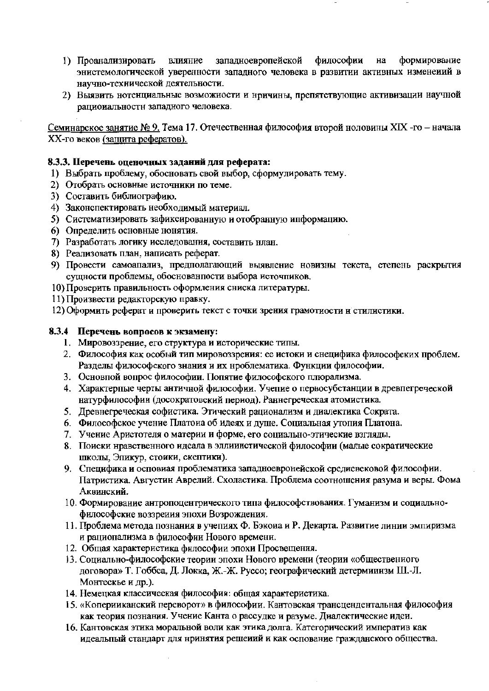- философии формирование запалноевропейской на 1) Проанализировать влияние энистемологической уверенности западного человека в развитии активных изменений в научно-технической деятельности.
- 2) Выявить нотенциальные возможности и нричины, препятствующие активизации научной рациональности западного человека.

Семинарское занятие № 9. Тема 17. Отечественная философия второй ноловины XIX -го - начала XX-го веков (защита рефератов).

### 8.3.3. Перечень оценочных заданий для реферата:

- 1) Выбрать проблему, обосновать свой выбор, сформулировать тему.
- 2) Отобрать основные источники по теме.
- 3) Составить библиографию.
- 4) Законспектировать необходимый материал.
- 5) Систематизировать зафиксированную и отобранную ипформацию.
- 6) Определить основные нонятия.
- 7) Разработать логику исследования, составить нлан.
- 8) Реализовать план, написать реферат.
- 9) Провести самоапализ, предполагающий выявление новизны текста, степень раскрытия сущности проблемы, обоснованности выбора источников.
- 10) Проверить правильность оформления сниска литературы.
- 11) Произвести редакторскую правку.
- 12) Оформить реферат и проверить текст с точки зрения грамотиости н стилистики.

#### 8.3.4 Перечень вопросов к экзамену:

- 1. Мировоззрение, его структура и исторические типы.
- 2. Философия как особый тип мировоззрения: ее истоки и снецифика философских проблем. Разделы философского знания и их нроблематика. Функции философии.
- 3. Основной вопрос философии. Попятие философского плюрализма.
- 4. Характерпые черты античной философии. Учепие о первосубстанции в древпегреческой натурфилософии (досократовский период). Раннегреческая атомистика.
- 5. Древнегреческая софистика. Этический рационализм и диалектика Сократа.
- 6. Философское учение Платоиа об идеях и душе. Социальная утопия Платона.
- 7. Учение Аристотеля о материи и форме, его социально-этические взгляды.
- 8. Поиски нравственного идеала в эллиинстической философии (малые сократические школы, Эпикур, стоики, скептики).
- 9. Специфика и осповиая проблематика западноевронейской средиевековой философии. Патристика. Августин Аврелий. Схоластика. Проблема соотношения разума и веры. Фома Аквинский.
- 10. Формирование антропоцентрического типа философствования. Гуманизм и социальнофилософские воззрения эпохи Возрождения.
- 11. Проблема метода познания в учепиях Ф. Бэкона и Р. Декарта. Развитие линии эмпиризма и рациопализма в философии Нового времени.
- 12. Общая характеристика философии эпохи Просвещения.
- 13. Социально-философские теории эпохи Нового времени (теории «общественного договора» Т. Гоббса, Д. Локка, Ж.-Ж. Руссо; географический детерминизм Ш.-Л. Монтескье и др.).
- 14. Немецкая классическая философия: общая характеристика.
- 15. «Коперииканский переворот» в философии. Кантовская трансцендентальная философия как теория познания. Учение Канта о рассудке и разуме. Диалектические идеи.
- 16. Кантовская этика моральной воли как этика долга. Категорический императив как идеальный стандарт для нринятия решеиий и как основание гражданского общества.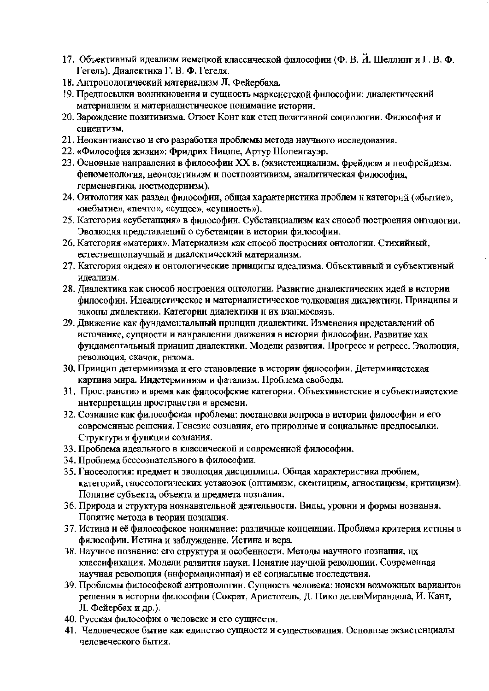- 17. Объективный идеализм иемецкой классической философии (Ф. В. Й. Шеллинг и Г. В. Ф. Гегель). Диалектика Г. В. Ф. Гегеля.
- 18. Антронологический материализм Л. Фейербаха.
- 19. Предпосылки возникновения и сущность марксистской философии: диалектический материализм и материалистическое понимание истории.
- 20. Зарождение позитивизма. Огюст Конт как отец позитивной социологии. Философия и спиентизм.
- 21. Неокантианство и его разработка проблемы метода научного исследования.
- 22. «Философия жизии»: Фридрих Ницше, Артур Шопенгауэр.
- 23. Основные направления в философии XX в. (экзистеициализм, фрейдизм и пеофрейдизм, феноменология, неонозитивизм и постпозитивизм, аналитическая философия, герменевтика, постмодериизм).
- 24. Оитология как раздел философии, общая характеристика проблем и категорнй («бытие», «иебытие», «печто», «сущее», «сущность»).
- 25. Категория «субстапция» в философии. Субстанциализм как снособ построения онтологии. Эволюция нредставлений о субстанции в истории философии.
- 26. Категория «материя». Материализм как способ построения онтологии. Стихийный, естественнонаучный и диалектический материализм.
- 27. Категория «идея» и онтологические принципы идеализма. Объективный и субъективный илеализм.
- 28. Диалектика как снособ ностроения онтологии. Развнтие диалектических идей в истории философии. Идеалистическое и материалистическое толкования диалектики. Принципы и законы диалектики. Категории диалектики н их взанмосвязь.
- 29. Движение как фундаментальный прннцип диалектики. Изменения представлений об источнике, сущности и нанравлении движения в истории философии. Развитие как фундаментальный принцип диалектики. Модели развития. Прогресс и регресс. Эволюция, революция, скачок, рнзома.
- 30. Принцип детерминизма и его становление в истории философии. Детерминистская картина мира. Индетерминизм и фатализм. Проблема свободы.
- 31. Пространство и время как философские категории. Объективистские и субъективистские интерпретации пространства и времени.
- 32. Сознапие как философская проблема: постановка вопроса в истории философии и его современные решения. Генезис сознания, его природные и социальные предпосылки. Структура и функции сознания.
- 33. Проблема идеального в классической и современной философии.
- 34. Проблема бессознательного в философии.
- 35. Гносеология: предмет и эволюция дисциплины. Общая характеристика проблем, категорий, гносеологических установок (оптимизм, скептицизм, агностицизм, критицизм). Понятие субъекта, объекта и нредмета нознания.
- 36. Природа и структура нознавательной деятельности. Виды, уровни и формы нознання. Попятие метода в теории нознания.
- 37. Истииа и её философское ноннмание: различные концепции. Проблема критерия истнны в философии. Истина и заблужденне. Истина и вера.
- 38. Научное познание: его структура и особенности. Методы иаучного познапия, нх классификация. Модели развития науки. Поиятие научной революции. Современная научная революция (ннформационная) и её социальные носледствия.
- 39. Проблемы философской антронологин. Сущность человека: ноиски возможных вариантов решения в исторни философни (Сократ, Аристотель, Д. Пико деллаМирандола, И. Кант, Л. Фейербах и др.).
- 40. Русская философия о человеке и его сущности.
- 41. Человеческое бытие как единство сущности и существования. Основные экзистенциалы человеческого бытия.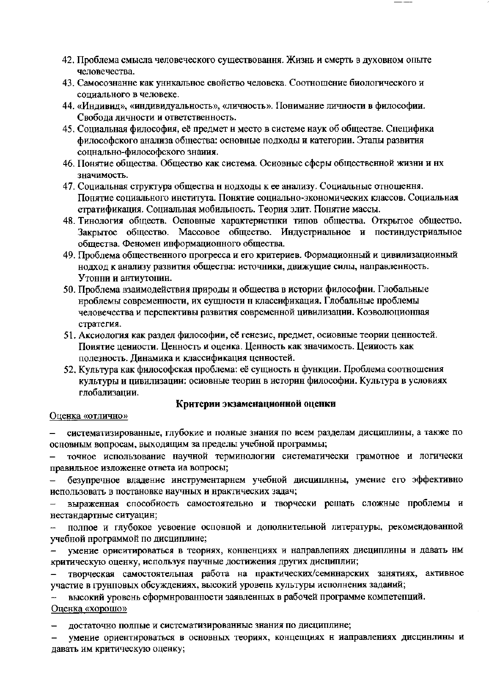- 42. Проблема смысла человеческого существовання. Жизнь и смерть в духовном опыте человечества.
- 43. Самосознанне как уникальное свойство человека. Соотношение биологического и сопиального в человеке.
- 44. «Индивид», «индивидуальность», «личность». Понимание личности в философии. Свобода личности и ответственность.
- 45. Социальная философия, её предмет и место в системе наук об обществе. Специфика философского анализа общества: основные подходы и категории. Этапы развития соцнально-философского знаиня.
- 46. Понятие общества. Общество как система. Основные сферы общественной жизни и нх значимость.
- 47. Социальная структура общества н нодходы к ее анализу. Социальные отношення. Понятие социального института. Понятие социально-экономических классов. Социальная стратификация. Социальная мобильность. Теория элит. Понятие массы.
- 48. Тинология обществ. Основные характеристнки типов общества. Открытое общество. Закрытое общество. Массовое общество. Индустриальное и постиндустриальное общества. Феномен информационного общества.
- 49. Проблема общественного прогресса и его критериев. Формационный и цивилизационный нодход к анализу развития общества: источники, движущие силы, направленность. Утонни и антиутопин.
- 50. Проблема взаимодействия природы и общества в истории философии. Глобальные нроблемы современности, их сущности н классификация. Глобальные проблемы человечества и перспективы развития современной цивилизации. Коэволюционная стратегия.
- 51. Аксиология как раздел философии, её генезис, предмет, осиовные теории ценностей. Поиятие цениости. Ценность и оценка. Ценность как значимость. Цениость как полезность. Динамика и классификация ценностей.
- 52. Культура как философская проблема: её сущность н функции. Проблема соотношения культуры и цивилизации: осиовные теорин в историн философии. Культура в условиях глобализации.

## Критерии экзаменационной оценки

#### Оценка «отлично»

систематизированные, глубокие и полные знания по всем разделам дисциплины, а также по основным вопросам, выходящим за пределы учебной программы;

точное использование научной терминологии систематически грамотное и логически правильное изложение ответа иа вопросы;

безупречное владение инструментарнем учебной дисциплины, умение его эффективно использовать в постановке научных и нрактических задач;

выраженная способность самостоятельно и творчески решать сложные проблемы и нестандартные ситуацин;

полпое и глубокое усвоение осповной и дополнительной литературы, рекомендованной  $\overline{\phantom{a}}$ учебной программой по дисциплине;

умение ориентироваться в теориях, конценциях и направлепиях дисциплины и давать им критическую оценку, используя паучные достижения других дисциплии;

творческая самостоятельная работа на практических/семннарских занятиях, активное участие в грунповых обсуждениях, высокий уровень культуры исполнения заданий;

высокий уровень сформнрованности заявленных в рабочей программе компетепций. Оценка «хорошо»

достаточно полпые и систематизированные знания по дисциплине;

умение ориентироваться в основных теориях, концепциях н иаправлениях дисцинлины и давать им критическую оценку;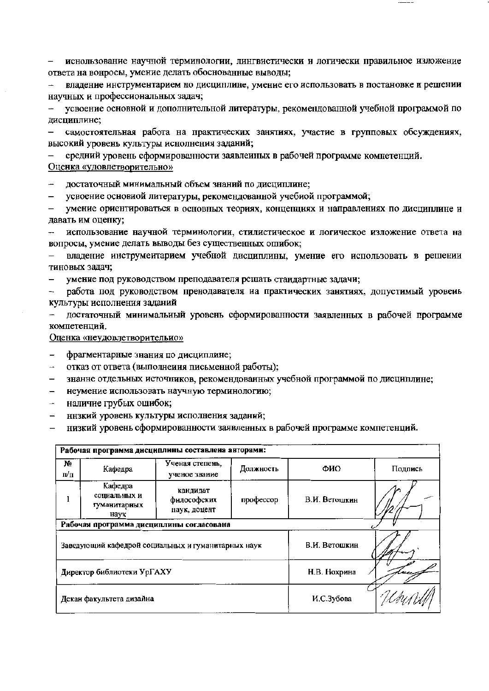иснользование научной терминологии, лингвистически и логически правильное изложение  $\overline{\phantom{m}}$ ответа на вонросы, умение делать обоснованные выводы;

владение инструментарием но дисциплине, умение его использовать в постановке и решении научных и профессиональных задач;

усвоение основной и дополнительной литературы, рекомендованной учебной программой по дисциплине;

самостоятельная работа на практических занятиях, участие в групповых обсуждениях,  $$ высокий уровень культуры иснолнения заданий;

средний уровень сформированности заявлеиных в рабочей программе компетенций. Оценка «удовлетворительно»

достаточный минимальный объем знаний по дисциплине;

усвоение основиой литературы, рекомендованной учебиой программой;

умение ориентироваться в основных теориях, концепциях и направлениях по дисциплине и  $$ давать им оценку;

- использование научной терминологии, стилистическое и логическое изложение ответа на вопросы, умение делать выводы без существенных ошибок;

владение инструментарием учебной дисциплины, умение его использовать в решении тиновых задач;

умение под руководством преподавателя решать стандартные задачи;

работа под руководством пренодавателя на практических занятиях, допустимый уровень  $$ культуры исполнения заданий

достаточный минимальный уровень сформированности заявленных в рабочей программе компетенций.

Оценка «неудовлетворительно»

фрагментарные знания по дисциплине;

 $\Delta \omega$ отказ от ответа (выполнения письменной работы);

знанне отдельных источников, рекомендованных учебной программой по дисциплине;  $-$ 

неумение использовать научную терминологию;

 $\overline{\phantom{0}}$ наличие грубых ошибок;

ннзкий уровень культуры исполнения заданий;  $\overline{\phantom{0}}$ 

низкий уровень сформированности заявленных в рабочей программе компетенций.

| Рабочая программа дисциплины составлена авторами: |                                                 |                                                    |               |               |         |  |  |  |  |
|---------------------------------------------------|-------------------------------------------------|----------------------------------------------------|---------------|---------------|---------|--|--|--|--|
| Nº<br>п/п                                         | Кафедра                                         | Ученая степень.<br>ученое звание                   | Должность     | ФИО           | Подпись |  |  |  |  |
|                                                   | Кафедра<br>социальных и<br>гуманитарных<br>наук | кандидат<br>философских<br>наук, доцент            | профессор     | В.И. Ветошкин |         |  |  |  |  |
| Рабочая программа дисциплины согласована          |                                                 |                                                    |               |               |         |  |  |  |  |
|                                                   |                                                 | Заведующий кафедрой социальных и гуманитарных наук | В.И. Ветошкин |               |         |  |  |  |  |
|                                                   | Директор библиотеки УрГАХУ                      |                                                    | Н.В. Нохрина  |               |         |  |  |  |  |
|                                                   | Декан факультета дизайна                        |                                                    | И.С.Зубова    |               |         |  |  |  |  |